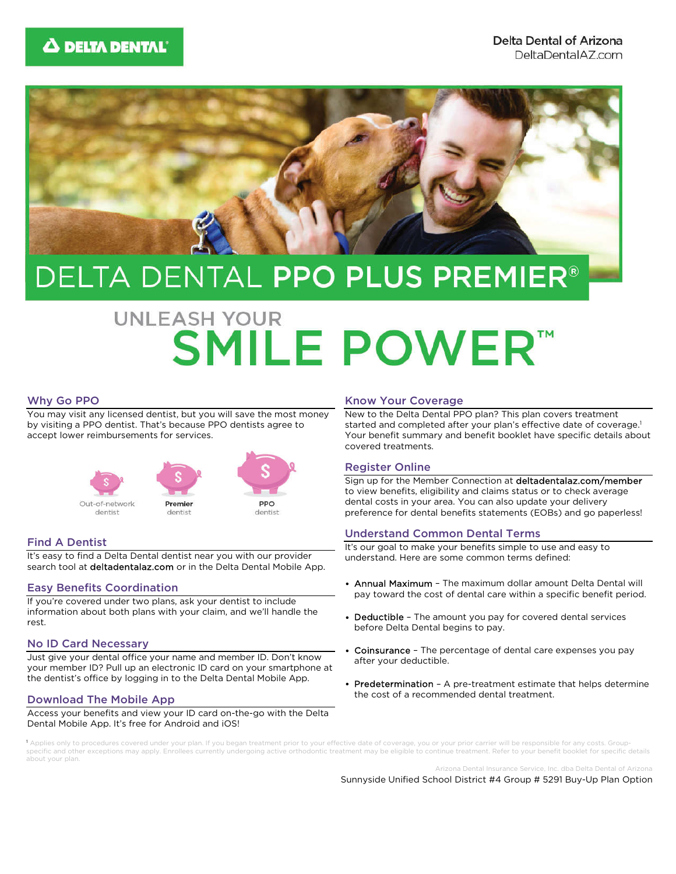

## DELTA DENTAL PPO PLUS PREMIER®

# **UNLEASH YOUR SMILE POWER™**

#### Why Go PPO

You may visit any licensed dentist, but you will save the most money by visiting a PPO dentist. That's because PPO dentists agree to accept lower reimbursements for services.



#### Find A Dentist

It's easy to find a Delta Dental dentist near you with our provider search tool at deltadentalaz.com or in the Delta Dental Mobile App.

#### Easy Benefits Coordination

If you're covered under two plans, ask your dentist to include information about both plans with your claim, and we'll handle the rest.

#### No ID Card Necessary

Just give your dental office your name and member ID. Don't know your member ID? Pull up an electronic ID card on your smartphone at the dentist's office by logging in to the Delta Dental Mobile App.

#### Download The Mobile App

Access your benefits and view your ID card on-the-go with the Delta Dental Mobile App. It's free for Android and iOS!

#### Know Your Coverage

New to the Delta Dental PPO plan? This plan covers treatment started and completed after your plan's effective date of coverage.<sup>1</sup> Your benefit summary and benefit booklet have specific details about covered treatments.

#### Register Online

Sign up for the Member Connection at deltadentalaz.com/member to view benefits, eligibility and claims status or to check average dental costs in your area. You can also update your delivery preference for dental benefits statements (EOBs) and go paperless!

#### Understand Common Dental Terms

It's our goal to make your benefits simple to use and easy to understand. Here are some common terms defined:

- Annual Maximum The maximum dollar amount Delta Dental will pay toward the cost of dental care within a specific benefit period.
- Deductible The amount you pay for covered dental services before Delta Dental begins to pay.
- Coinsurance The percentage of dental care expenses you pay after your deductible.
- Predetermination A pre-treatment estimate that helps determine the cost of a recommended dental treatment.

ies only to procedures covered under your plan. If you began treatment prior to your effective date of coverage, you or your prior carrier will be responsible for any costs. Groupspecific and other exceptions may apply. Enrollees currently undergoing active orthodontic treatment may be eligible to continue treatment. Refer to your benefit booklet for specific details about your plan.

Arizona Dental Insurance Service, Inc. dba Delta Dental of Arizona

Sunnyside Unified School District #4 Group # 5291 Buy-Up Plan Option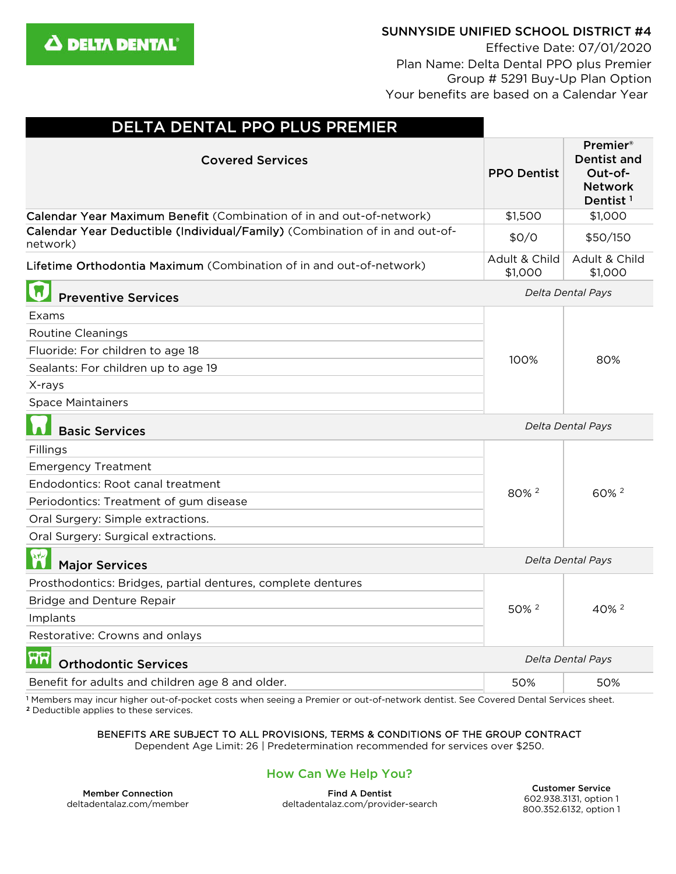

## SUNNYSIDE UNIFIED SCHOOL DISTRICT #4

Effective Date: 07/01/2020 Plan Name: Delta Dental PPO plus Premier Group # 5291 Buy-Up Plan Option Your benefits are based on a Calendar Year

| DELTA DENTAL PPO PLUS PREMIER                                                           |                          |                                                                                             |
|-----------------------------------------------------------------------------------------|--------------------------|---------------------------------------------------------------------------------------------|
| <b>Covered Services</b>                                                                 | <b>PPO Dentist</b>       | <b>Premier</b> ®<br><b>Dentist and</b><br>Out-of-<br><b>Network</b><br>Dentist <sup>1</sup> |
| Calendar Year Maximum Benefit (Combination of in and out-of-network)                    | \$1,500                  | \$1,000                                                                                     |
| Calendar Year Deductible (Individual/Family) (Combination of in and out-of-<br>network) | \$0/0                    | \$50/150                                                                                    |
| Lifetime Orthodontia Maximum (Combination of in and out-of-network)                     | Adult & Child<br>\$1,000 | Adult & Child<br>\$1,000                                                                    |
| <b>Preventive Services</b>                                                              |                          | Delta Dental Pays                                                                           |
| Exams                                                                                   |                          | 80%                                                                                         |
| Routine Cleanings                                                                       | 100%                     |                                                                                             |
| Fluoride: For children to age 18                                                        |                          |                                                                                             |
| Sealants: For children up to age 19                                                     |                          |                                                                                             |
| X-rays                                                                                  |                          |                                                                                             |
| <b>Space Maintainers</b>                                                                |                          |                                                                                             |
| <b>Basic Services</b>                                                                   | Delta Dental Pays        |                                                                                             |
| Fillings                                                                                | 80% <sup>2</sup>         | 60% <sup>2</sup>                                                                            |
| <b>Emergency Treatment</b>                                                              |                          |                                                                                             |
| Endodontics: Root canal treatment                                                       |                          |                                                                                             |
| Periodontics: Treatment of gum disease                                                  |                          |                                                                                             |
| Oral Surgery: Simple extractions.                                                       |                          |                                                                                             |
| Oral Surgery: Surgical extractions.                                                     |                          |                                                                                             |
| $\mathbf{r}$<br><b>Major Services</b>                                                   | Delta Dental Pays        |                                                                                             |
| Prosthodontics: Bridges, partial dentures, complete dentures                            | 50% <sup>2</sup>         | $40\%$ <sup>2</sup>                                                                         |
| Bridge and Denture Repair                                                               |                          |                                                                                             |
| Implants                                                                                |                          |                                                                                             |
| Restorative: Crowns and onlays                                                          |                          |                                                                                             |
| ମ୍ପନ<br><b>Orthodontic Services</b>                                                     | Delta Dental Pays        |                                                                                             |
| Benefit for adults and children age 8 and older.                                        | 50%                      | 50%                                                                                         |

<sup>1</sup> Members may incur higher out-of-pocket costs when seeing a Premier or out-of-network dentist. See Covered Dental Services sheet. <sup>2</sup> Deductible applies to these services.

BENEFITS ARE SUBJECT TO ALL PROVISIONS, TERMS & CONDITIONS OF THE GROUP CONTRACT

Dependent Age Limit: 26 | Predetermination recommended for services over \$250.

## How Can We Help You?

Member Connection deltadentalaz.com/member

Find A Dentist deltadentalaz.com/provider-search

Customer Service 602.938.3131, option 1 800.352.6132, option 1